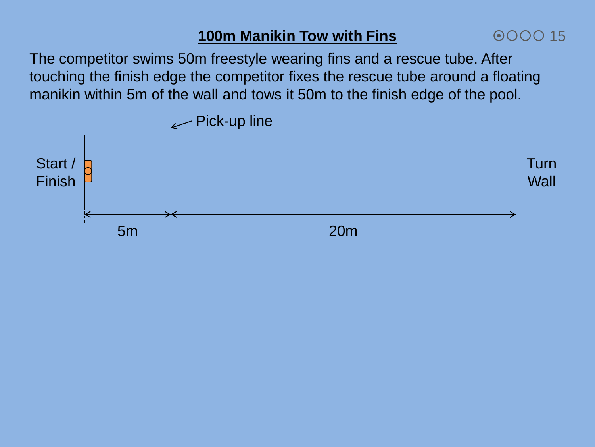# **100m Manikin Tow with Fins**

The competitor swims 50m freestyle wearing fins and a rescue tube. After touching the finish edge the competitor fixes the rescue tube around a floating manikin within 5m of the wall and tows it 50m to the finish edge of the pool.

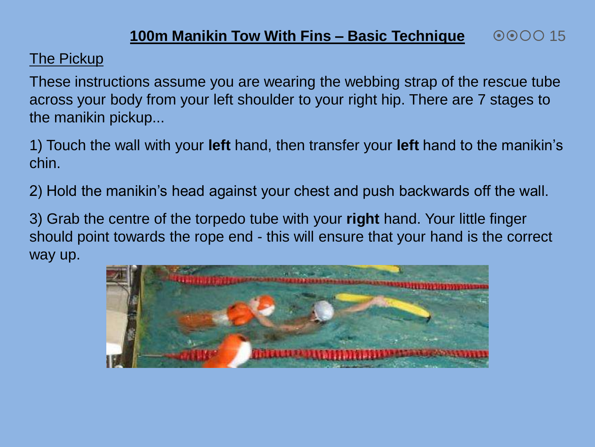#### **100m Manikin Tow With Fins – Basic Technique**  $\odot$  $\odot$  $\odot$  $\odot$  15

The Pickup

These instructions assume you are wearing the webbing strap of the rescue tube across your body from your left shoulder to your right hip. There are 7 stages to the manikin pickup...

1) Touch the wall with your **left** hand, then transfer your **left** hand to the manikin's chin.

2) Hold the manikin's head against your chest and push backwards off the wall.

3) Grab the centre of the torpedo tube with your **right** hand. Your little finger should point towards the rope end - this will ensure that your hand is the correct way up.

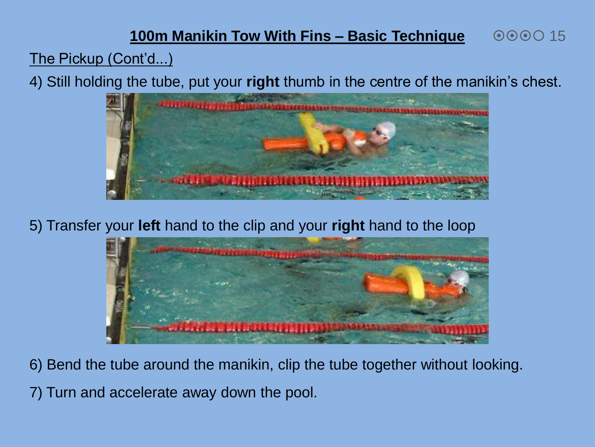#### **100m Manikin Tow With Fins – Basic Technique** 000015

The Pickup (Cont'd...)

4) Still holding the tube, put your **right** thumb in the centre of the manikin's chest.



5) Transfer your **left** hand to the clip and your **right** hand to the loop



6) Bend the tube around the manikin, clip the tube together without looking.

7) Turn and accelerate away down the pool.